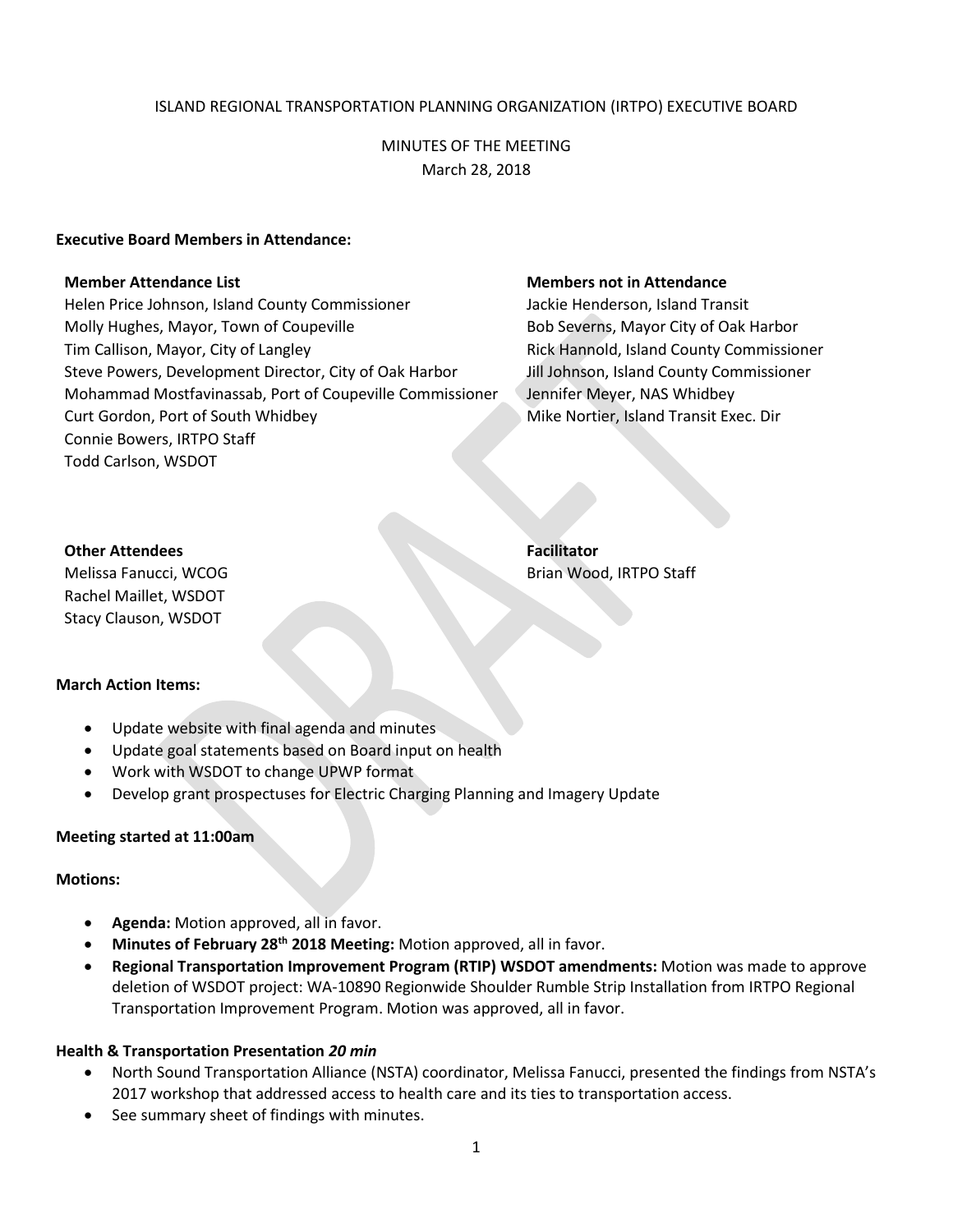# ISLAND REGIONAL TRANSPORTATION PLANNING ORGANIZATION (IRTPO) EXECUTIVE BOARD

# MINUTES OF THE MEETING March 28, 2018

## **Executive Board Members in Attendance:**

Helen Price Johnson, Island County Commissioner **Jackie Henderson, Island Transit** Molly Hughes, Mayor, Town of Coupeville Bob Severns, Mayor City of Oak Harbor Tim Callison, Mayor, City of Langley **Rick Hannold, Island County Commissioner** Rick Hannold, Island County Commissioner Steve Powers, Development Director, City of Oak Harbor Jill Johnson, Island County Commissioner Mohammad Mostfavinassab, Port of Coupeville Commissioner Jennifer Meyer, NAS Whidbey Curt Gordon, Port of South Whidbey Mike Nortier, Island Transit Exec. Dir Connie Bowers, IRTPO Staff Todd Carlson, WSDOT

#### **Member Attendance List Members not in Attendance**

### **Other Attendees Facilitator**

Melissa Fanucci, WCOG Brian Wood, IRTPO Staff Rachel Maillet, WSDOT Stacy Clauson, WSDOT

## **March Action Items:**

- Update website with final agenda and minutes
- Update goal statements based on Board input on health
- Work with WSDOT to change UPWP format
- Develop grant prospectuses for Electric Charging Planning and Imagery Update

## **Meeting started at 11:00am**

#### **Motions:**

- **Agenda:** Motion approved, all in favor.
- **Minutes of February 28th 2018 Meeting:** Motion approved, all in favor.
- **Regional Transportation Improvement Program (RTIP) WSDOT amendments:** Motion was made to approve deletion of WSDOT project: WA-10890 Regionwide Shoulder Rumble Strip Installation from IRTPO Regional Transportation Improvement Program. Motion was approved, all in favor.

## **Health & Transportation Presentation** *20 min*

- North Sound Transportation Alliance (NSTA) coordinator, Melissa Fanucci, presented the findings from NSTA's 2017 workshop that addressed access to health care and its ties to transportation access.
- See summary sheet of findings with minutes.

1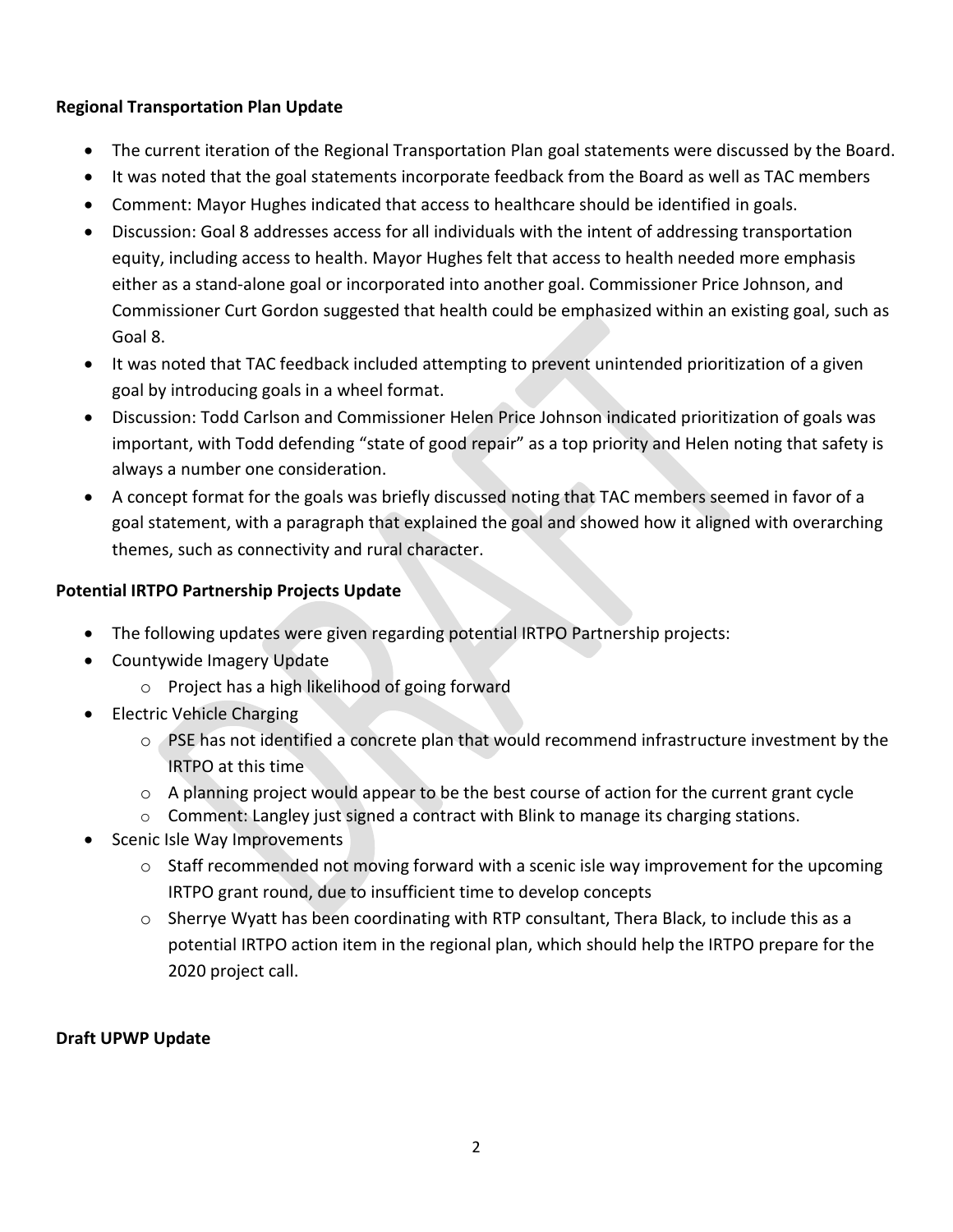# **Regional Transportation Plan Update**

- The current iteration of the Regional Transportation Plan goal statements were discussed by the Board.
- It was noted that the goal statements incorporate feedback from the Board as well as TAC members
- Comment: Mayor Hughes indicated that access to healthcare should be identified in goals.
- Discussion: Goal 8 addresses access for all individuals with the intent of addressing transportation equity, including access to health. Mayor Hughes felt that access to health needed more emphasis either as a stand-alone goal or incorporated into another goal. Commissioner Price Johnson, and Commissioner Curt Gordon suggested that health could be emphasized within an existing goal, such as Goal 8.
- It was noted that TAC feedback included attempting to prevent unintended prioritization of a given goal by introducing goals in a wheel format.
- Discussion: Todd Carlson and Commissioner Helen Price Johnson indicated prioritization of goals was important, with Todd defending "state of good repair" as a top priority and Helen noting that safety is always a number one consideration.
- A concept format for the goals was briefly discussed noting that TAC members seemed in favor of a goal statement, with a paragraph that explained the goal and showed how it aligned with overarching themes, such as connectivity and rural character.

# **Potential IRTPO Partnership Projects Update**

- The following updates were given regarding potential IRTPO Partnership projects:
- Countywide Imagery Update
	- o Project has a high likelihood of going forward
- Electric Vehicle Charging
	- o PSE has not identified a concrete plan that would recommend infrastructure investment by the IRTPO at this time
	- $\circ$  A planning project would appear to be the best course of action for the current grant cycle
	- o Comment: Langley just signed a contract with Blink to manage its charging stations.
- Scenic Isle Way Improvements
	- $\circ$  Staff recommended not moving forward with a scenic isle way improvement for the upcoming IRTPO grant round, due to insufficient time to develop concepts
	- o Sherrye Wyatt has been coordinating with RTP consultant, Thera Black, to include this as a potential IRTPO action item in the regional plan, which should help the IRTPO prepare for the 2020 project call.

# **Draft UPWP Update**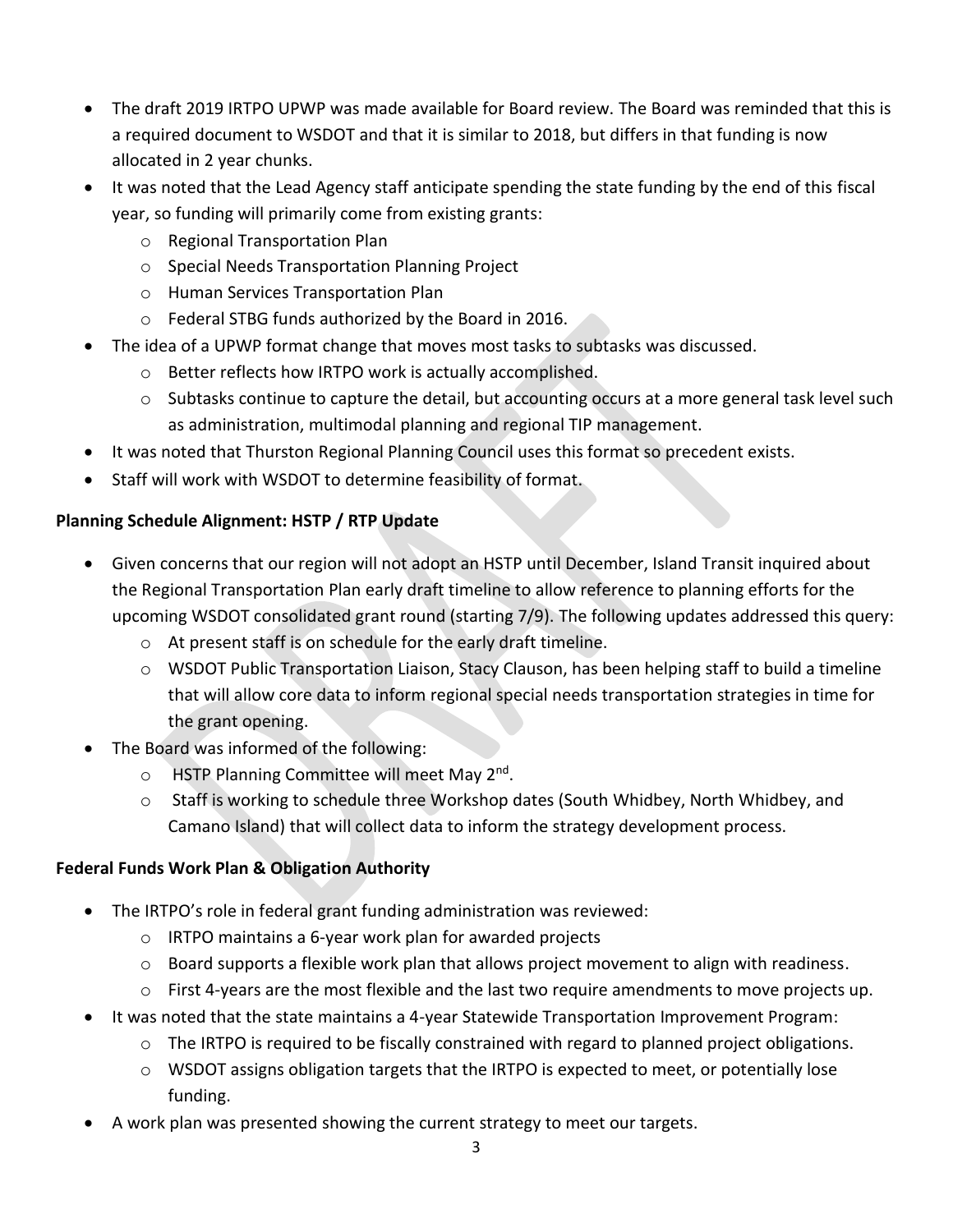- The draft 2019 IRTPO UPWP was made available for Board review. The Board was reminded that this is a required document to WSDOT and that it is similar to 2018, but differs in that funding is now allocated in 2 year chunks.
- It was noted that the Lead Agency staff anticipate spending the state funding by the end of this fiscal year, so funding will primarily come from existing grants:
	- o Regional Transportation Plan
	- o Special Needs Transportation Planning Project
	- o Human Services Transportation Plan
	- o Federal STBG funds authorized by the Board in 2016.
- The idea of a UPWP format change that moves most tasks to subtasks was discussed.
	- o Better reflects how IRTPO work is actually accomplished.
	- $\circ$  Subtasks continue to capture the detail, but accounting occurs at a more general task level such as administration, multimodal planning and regional TIP management.
- It was noted that Thurston Regional Planning Council uses this format so precedent exists.
- Staff will work with WSDOT to determine feasibility of format.

# **Planning Schedule Alignment: HSTP / RTP Update**

- Given concerns that our region will not adopt an HSTP until December, Island Transit inquired about the Regional Transportation Plan early draft timeline to allow reference to planning efforts for the upcoming WSDOT consolidated grant round (starting 7/9). The following updates addressed this query:
	- o At present staff is on schedule for the early draft timeline.
	- o WSDOT Public Transportation Liaison, Stacy Clauson, has been helping staff to build a timeline that will allow core data to inform regional special needs transportation strategies in time for the grant opening.
- The Board was informed of the following:
	- o HSTP Planning Committee will meet May 2<sup>nd</sup>.
	- $\circ$  Staff is working to schedule three Workshop dates (South Whidbey, North Whidbey, and Camano Island) that will collect data to inform the strategy development process.

# **Federal Funds Work Plan & Obligation Authority**

- The IRTPO's role in federal grant funding administration was reviewed:
	- o IRTPO maintains a 6-year work plan for awarded projects
	- $\circ$  Board supports a flexible work plan that allows project movement to align with readiness.
	- $\circ$  First 4-years are the most flexible and the last two require amendments to move projects up.
- It was noted that the state maintains a 4-year Statewide Transportation Improvement Program:
	- o The IRTPO is required to be fiscally constrained with regard to planned project obligations.
	- $\circ$  WSDOT assigns obligation targets that the IRTPO is expected to meet, or potentially lose funding.
- A work plan was presented showing the current strategy to meet our targets.